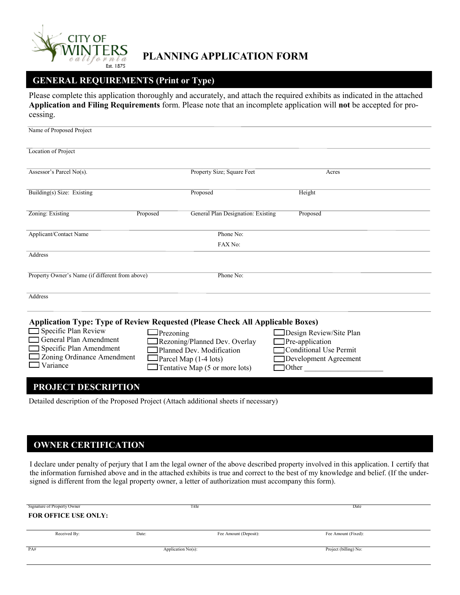

# **PLANNING APPLICATION FORM**

# **GENERAL REQUIREMENTS (Print or Type)**

Please complete this application thoroughly and accurately, and attach the required exhibits as indicated in the attached **Application and Filing Requirements** form. Please note that an incomplete application will **not** be accepted for processing.

| Name of Proposed Project                                                              |                                                |                         |
|---------------------------------------------------------------------------------------|------------------------------------------------|-------------------------|
| Location of Project                                                                   |                                                |                         |
| Assessor's Parcel $No(s)$ .                                                           | Property Size; Square Feet                     | Acres                   |
| Building(s) Size: Existing                                                            | Proposed                                       | Height                  |
| Zoning: Existing                                                                      | General Plan Designation: Existing<br>Proposed | Proposed                |
| Applicant/Contact Name                                                                | Phone No:                                      |                         |
|                                                                                       | FAX No:                                        |                         |
| Address                                                                               |                                                |                         |
| Property Owner's Name (if different from above)                                       | Phone No:                                      |                         |
| Address                                                                               |                                                |                         |
| <b>Application Type: Type of Review Requested (Please Check All Applicable Boxes)</b> |                                                |                         |
| $\Box$ Specific Plan Review                                                           | $\Box$ Prezoning                               | Design Review/Site Plan |
| <b>General Plan Amendment</b>                                                         | Rezoning/Planned Dev. Overlay                  | Pre-application         |
| Specific Plan Amendment<br>Zoning Ordinance Amendment                                 | Planned Dev. Modification                      | Conditional Use Permit  |
| Variance                                                                              | $\Box$ Parcel Map (1-4 lots)                   | Development Agreement   |
|                                                                                       | $\Box$ Tentative Map (5 or more lots)          | Other                   |
| PROJECT DESCRIPTION                                                                   |                                                |                         |
|                                                                                       |                                                |                         |

Detailed description of the Proposed Project (Attach additional sheets if necessary)

## **OWNER CERTIFICATION**

I declare under penalty of perjury that I am the legal owner of the above described property involved in this application. I certify that the information furnished above and in the attached exhibits is true and correct to the best of my knowledge and belief. (If the undersigned is different from the legal property owner, a letter of authorization must accompany this form).

| Signature of Property Owner |       | Title                 | Date                  |  |
|-----------------------------|-------|-----------------------|-----------------------|--|
| <b>FOR OFFICE USE ONLY:</b> |       |                       |                       |  |
|                             |       |                       |                       |  |
| Received By:                | Date: | Fee Amount (Deposit): | Fee Amount (Fixed):   |  |
|                             |       |                       |                       |  |
| PA#                         |       | Application $No(s)$ : | Project (billing) No: |  |
|                             |       |                       |                       |  |
|                             |       |                       |                       |  |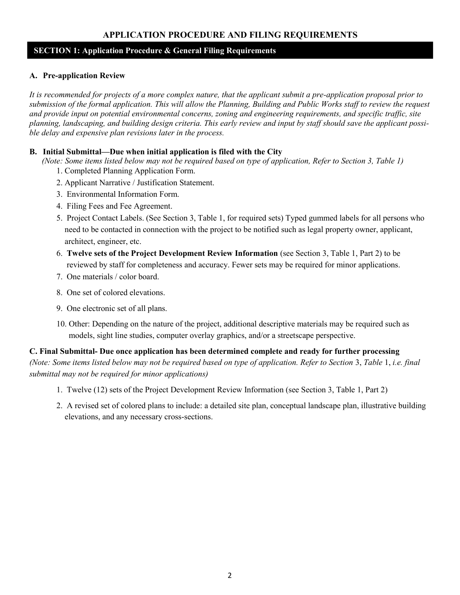## **APPLICATION PROCEDURE AND FILING REQUIREMENTS**

## **SECTION 1: Application Procedure & General Filing Requirements**

### **A. Pre-application Review**

*It is recommended for projects of a more complex nature, that the applicant submit a pre-application proposal prior to submission of the formal application. This will allow the Planning, Building and Public Works staff to review the request and provide input on potential environmental concerns, zoning and engineering requirements, and specific traffic, site planning, landscaping, and building design criteria. This early review and input by staff should save the applicant possible delay and expensive plan revisions later in the process.*

### **B. Initial Submittal—Due when initial application is filed with the City**

 *(Note: Some items listed below may not be required based on type of application, Refer to Section 3, Table 1)* 1. Completed Planning Application Form.

- 2. Applicant Narrative / Justification Statement.
- 3. Environmental Information Form.
- 4. Filing Fees and Fee Agreement.
- 5. Project Contact Labels. (See Section 3, Table 1, for required sets) Typed gummed labels for all persons who need to be contacted in connection with the project to be notified such as legal property owner, applicant, architect, engineer, etc.
- 6. **Twelve sets of the Project Development Review Information** (see Section 3, Table 1, Part 2) to be reviewed by staff for completeness and accuracy. Fewer sets may be required for minor applications.
- 7. One materials / color board.
- 8. One set of colored elevations.
- 9. One electronic set of all plans.
- 10. Other: Depending on the nature of the project, additional descriptive materials may be required such as models, sight line studies, computer overlay graphics, and/or a streetscape perspective.

**C. Final Submittal- Due once application has been determined complete and ready for further processing**  *(Note: Some items listed below may not be required based on type of application. Refer to Section* 3, *Table* 1, *i.e. final submittal may not be required for minor applications)*

- 1. Twelve (12) sets of the Project Development Review Information (see Section 3, Table 1, Part 2)
- 2. A revised set of colored plans to include: a detailed site plan, conceptual landscape plan, illustrative building elevations, and any necessary cross-sections.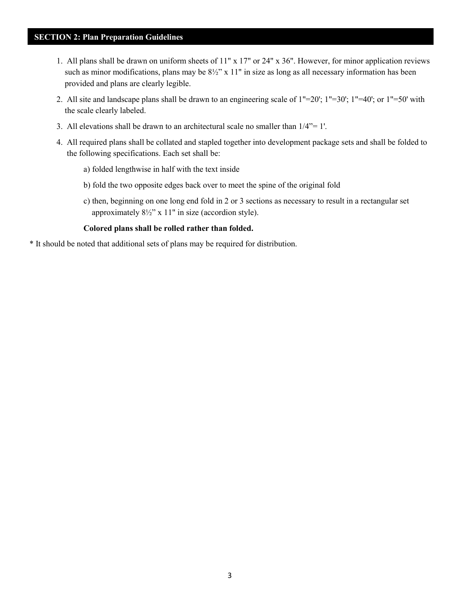## **SECTION 2: Plan Preparation Guidelines**

- 1. All plans shall be drawn on uniform sheets of 11" x 17" or 24" x 36". However, for minor application reviews such as minor modifications, plans may be  $8\frac{1}{2}$ " x 11" in size as long as all necessary information has been provided and plans are clearly legible.
- 2. All site and landscape plans shall be drawn to an engineering scale of 1"=20'; 1"=30'; 1"=40'; or 1"=50' with the scale clearly labeled.
- 3. All elevations shall be drawn to an architectural scale no smaller than 1/4"= 1'.
- 4. All required plans shall be collated and stapled together into development package sets and shall be folded to the following specifications. Each set shall be:
	- a) folded lengthwise in half with the text inside
	- b) fold the two opposite edges back over to meet the spine of the original fold
	- c) then, beginning on one long end fold in 2 or 3 sections as necessary to result in a rectangular set approximately 8½" x 11" in size (accordion style).

### **Colored plans shall be rolled rather than folded.**

\* It should be noted that additional sets of plans may be required for distribution.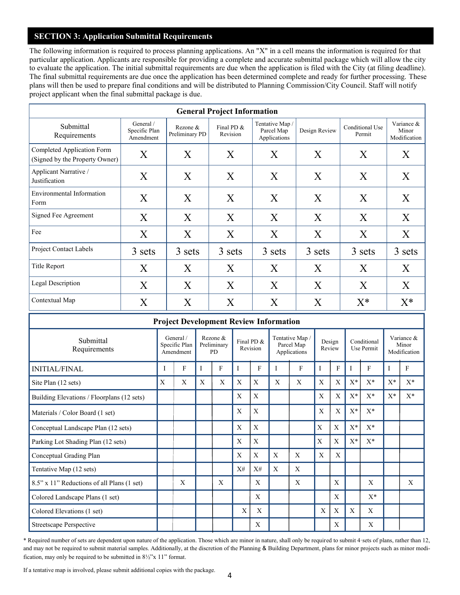## **SECTION 3: Application Submittal Requirements**

The following information is required to process planning applications. An "X" in a cell means the information is required for that particular application. Applicants are responsible for providing a complete and accurate submittal package which will allow the city to evaluate the application. The initial submittal requirements are due when the application is filed with the City (at filing deadline). The final submittal requirements are due once the application has been determined complete and ready for further processing. These plans will then be used to prepare final conditions and will be distributed to Planning Commission/City Council. Staff will notify project applicant when the final submittal package is due.

| <b>General Project Information</b>                           |                                         |                            |                        |                                               |               |                           |                                     |
|--------------------------------------------------------------|-----------------------------------------|----------------------------|------------------------|-----------------------------------------------|---------------|---------------------------|-------------------------------------|
| Submittal<br>Requirements                                    | General /<br>Specific Plan<br>Amendment | Rezone &<br>Preliminary PD | Final PD &<br>Revision | Tentative Map /<br>Parcel Map<br>Applications | Design Review | Conditional Use<br>Permit | Variance &<br>Minor<br>Modification |
| Completed Application Form<br>(Signed by the Property Owner) | X                                       | X                          | X                      | X                                             | X             | X                         | X                                   |
| Applicant Narrative /<br>Justification                       | X                                       | X                          | X                      | X                                             | X             | X                         | X                                   |
| <b>Environmental Information</b><br>Form                     | X                                       | X                          | X                      | X                                             | X             | X                         | X                                   |
| Signed Fee Agreement                                         | X                                       | X                          | X                      | X                                             | X             | X                         | X                                   |
| Fee                                                          | X                                       | X                          | X                      | X                                             | X             | X                         | X                                   |
| <b>Project Contact Labels</b>                                | 3 sets                                  | 3 sets                     | 3 sets                 | 3 sets                                        | 3 sets        | 3 sets                    | 3 sets                              |
| Title Report                                                 | X                                       | X                          | X                      | X                                             | X             | X                         | X                                   |
| Legal Description                                            | X                                       | X                          | X                      | X                                             | X             | X                         | X                                   |
| Contextual Map                                               | X                                       | X                          | X                      | X                                             | X             | $X^*$                     | $X^*$                               |

| <b>Project Development Review Information</b> |   |                                         |   |                                      |    |                        |   |                                               |   |                  |       |                           |       |                                     |
|-----------------------------------------------|---|-----------------------------------------|---|--------------------------------------|----|------------------------|---|-----------------------------------------------|---|------------------|-------|---------------------------|-------|-------------------------------------|
| Submittal<br>Requirements                     |   | General /<br>Specific Plan<br>Amendment |   | Rezone &<br>Preliminary<br><b>PD</b> |    | Final PD &<br>Revision |   | Tentative Map /<br>Parcel Map<br>Applications |   | Design<br>Review |       | Conditional<br>Use Permit |       | Variance &<br>Minor<br>Modification |
| <b>INITIAL/FINAL</b>                          |   | F                                       | I | F                                    | I  | F                      |   | F                                             |   | F                | I     | F                         | Ι     | F                                   |
| Site Plan (12 sets)                           | X | X                                       | X | X                                    | X  | X                      | X | X                                             | X | X                | $X^*$ | $X^*$                     | $X^*$ | $X^*$                               |
| Building Elevations / Floorplans (12 sets)    |   |                                         |   |                                      | X  | X                      |   |                                               | X | X                | $X^*$ | $X^*$                     | $X^*$ | $X^*$                               |
| Materials / Color Board (1 set)               |   |                                         |   |                                      | X  | X                      |   |                                               | X | X                | $X^*$ | $X^*$                     |       |                                     |
| Conceptual Landscape Plan (12 sets)           |   |                                         |   |                                      | X  | X                      |   |                                               | X | X                | $X^*$ | $X^*$                     |       |                                     |
| Parking Lot Shading Plan (12 sets)            |   |                                         |   |                                      | X  | X                      |   |                                               | X | X                | $X^*$ | $X^*$                     |       |                                     |
| Conceptual Grading Plan                       |   |                                         |   |                                      | X  | X                      | X | X                                             | X | X                |       |                           |       |                                     |
| Tentative Map (12 sets)                       |   |                                         |   |                                      | X# | X#                     | X | X                                             |   |                  |       |                           |       |                                     |
| 8.5" x 11" Reductions of all Plans (1 set)    |   | X                                       |   | X                                    |    | X                      |   | X                                             |   | X                |       | X                         |       | X                                   |
| Colored Landscape Plans (1 set)               |   |                                         |   |                                      |    | X                      |   |                                               |   | X                |       | $X^*$                     |       |                                     |
| Colored Elevations (1 set)                    |   |                                         |   |                                      | X  | X                      |   |                                               | X | X                | X     | X                         |       |                                     |
| Streetscape Perspective                       |   |                                         |   |                                      |    | X                      |   |                                               |   | X                |       | X                         |       |                                     |

\* Required number of sets are dependent upon nature of the application. Those which are minor in nature, shall only be required to submit 4·sets of plans, rather than 12, and may not be required to submit material samples. Additionally, at the discretion of the Planning & Building Department, plans for minor projects such as minor modification, may only be required to be submitted in  $8\frac{1}{2}$ "x 11" format.

If a tentative map is involved, please submit additional copies with the package.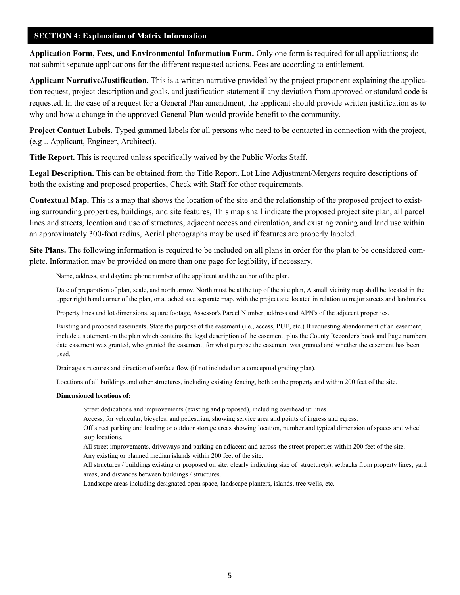### **SECTION 4: Explanation of Matrix Information**

**Application Form, Fees, and Environmental Information Form.** Only one form is required for all applications; do not submit separate applications for the different requested actions. Fees are according to entitlement.

**Applicant Narrative/Justification.** This is a written narrative provided by the project proponent explaining the application request, project description and goals, and justification statement if any deviation from approved or standard code is requested. In the case of a request for a General Plan amendment, the applicant should provide written justification as to why and how a change in the approved General Plan would provide benefit to the community.

**Project Contact Labels**. Typed gummed labels for all persons who need to be contacted in connection with the project, (e,g .. Applicant, Engineer, Architect).

**Title Report.** This is required unless specifically waived by the Public Works Staff.

**Legal Description.** This can be obtained from the Title Report. Lot Line Adjustment/Mergers require descriptions of both the existing and proposed properties, Check with Staff for other requirements.

**Contextual Map.** This is a map that shows the location of the site and the relationship of the proposed project to existing surrounding properties, buildings, and site features, This map shall indicate the proposed project site plan, all parcel lines and streets, location and use of structures, adjacent access and circulation, and existing zoning and land use within an approximately 300-foot radius, Aerial photographs may be used if features are properly labeled.

**Site Plans.** The following information is required to be included on all plans in order for the plan to be considered complete. Information may be provided on more than one page for legibility, if necessary.

Name, address, and daytime phone number of the applicant and the author of the plan.

Date of preparation of plan, scale, and north arrow, North must be at the top of the site plan, A small vicinity map shall be located in the upper right hand corner of the plan, or attached as a separate map, with the project site located in relation to major streets and landmarks.

Property lines and lot dimensions, square footage, Assessor's Parcel Number, address and APN's of the adjacent properties.

Existing and proposed easements. State the purpose of the easement (i.e., access, PUE, etc.) If requesting abandonment of an easement, include a statement on the plan which contains the legal description of the easement, plus the County Recorder's book and Page numbers, date easement was granted, who granted the easement, for what purpose the easement was granted and whether the easement has been used.

Drainage structures and direction of surface flow (if not included on a conceptual grading plan).

Locations of all buildings and other structures, including existing fencing, both on the property and within 200 feet of the site.

#### **Dimensioned locations of:**

Street dedications and improvements (existing and proposed), including overhead utilities.

Access, for vehicular, bicycles, and pedestrian, showing service area and points of ingress and egress.

Off street parking and loading or outdoor storage areas showing location, number and typical dimension of spaces and wheel stop locations.

All street improvements, driveways and parking on adjacent and across-the-street properties within 200 feet of the site.

Any existing or planned median islands within 200 feet of the site.

All structures / buildings existing or proposed on site; clearly indicating size of structure(s), setbacks from property lines, yard areas, and distances between buildings / structures.

Landscape areas including designated open space, landscape planters, islands, tree wells, etc.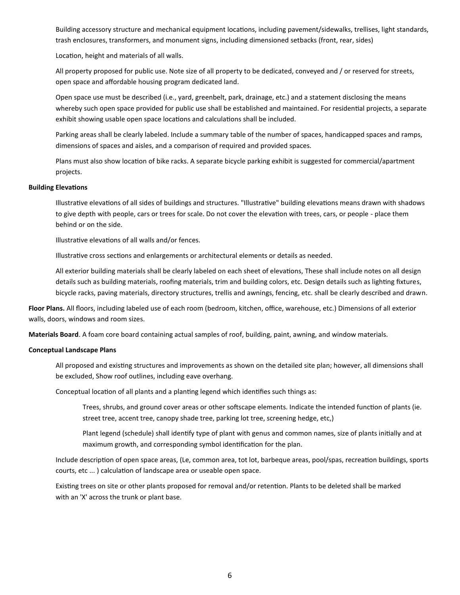Building accessory structure and mechanical equipment locations, including pavement/sidewalks, trellises, light standards, trash enclosures, transformers, and monument signs, including dimensioned setbacks (front, rear, sides)

Location, height and materials of all walls.

All property proposed for public use. Note size of all property to be dedicated, conveyed and / or reserved for streets, open space and affordable housing program dedicated land.

Open space use must be described (i.e., yard, greenbelt, park, drainage, etc.) and a statement disclosing the means whereby such open space provided for public use shall be established and maintained. For residential projects, a separate exhibit showing usable open space locations and calculations shall be included.

Parking areas shall be clearly labeled. Include a summary table of the number of spaces, handicapped spaces and ramps, dimensions of spaces and aisles, and a comparison of required and provided spaces.

Plans must also show location of bike racks. A separate bicycle parking exhibit is suggested for commercial/apartment projects.

#### **Building Elevations**

Illustrative elevations of all sides of buildings and structures. "Illustrative" building elevations means drawn with shadows to give depth with people, cars or trees for scale. Do not cover the elevation with trees, cars, or people - place them behind or on the side.

Illustrative elevations of all walls and/or fences.

Illustrative cross sections and enlargements or architectural elements or details as needed.

All exterior building materials shall be clearly labeled on each sheet of elevations, These shall include notes on all design details such as building materials, roofing materials, trim and building colors, etc. Design details such as lighting fixtures, bicycle racks, paving materials, directory structures, trellis and awnings, fencing, etc. shall be clearly described and drawn.

**Floor Plans.** All floors, including labeled use of each room (bedroom, kitchen, office, warehouse, etc.) Dimensions of all exterior walls, doors, windows and room sizes.

**Materials Board**. A foam core board containing actual samples of roof, building, paint, awning, and window materials.

#### **Conceptual Landscape Plans**

All proposed and existing structures and improvements as shown on the detailed site plan; however, all dimensions shall be excluded, Show roof outlines, including eave overhang.

Conceptual location of all plants and a planting legend which identifies such things as:

Trees, shrubs, and ground cover areas or other softscape elements. Indicate the intended function of plants (ie. street tree, accent tree, canopy shade tree, parking lot tree, screening hedge, etc,)

Plant legend (schedule) shall identify type of plant with genus and common names, size of plants initially and at maximum growth, and corresponding symbol identification for the plan.

Include description of open space areas, (Le, common area, tot lot, barbeque areas, pool/spas, recreation buildings, sports courts, etc ... ) calculation of landscape area or useable open space.

Existing trees on site or other plants proposed for removal and/or retention. Plants to be deleted shall be marked with an 'X' across the trunk or plant base.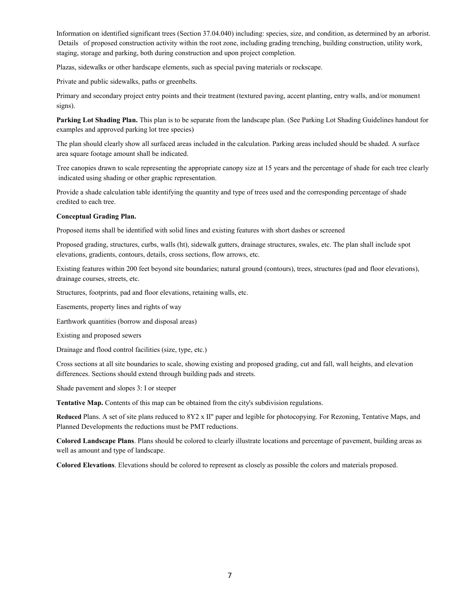Information on identified significant trees (Section 37.04.040) including: species, size, and condition, as determined by an arborist. Details of proposed construction activity within the root zone, including grading trenching, building construction, utility work, staging, storage and parking, both during construction and upon project completion.

Plazas, sidewalks or other hardscape elements, such as special paving materials or rockscape.

Private and public sidewalks, paths or greenbelts.

Primary and secondary project entry points and their treatment (textured paving, accent planting, entry walls, and/or monument signs).

**Parking Lot Shading Plan.** This plan is to be separate from the landscape plan. (See Parking Lot Shading Guidelines handout for examples and approved parking lot tree species)

The plan should clearly show all surfaced areas included in the calculation. Parking areas included should be shaded. A surface area square footage amount shall be indicated.

Tree canopies drawn to scale representing the appropriate canopy size at 15 years and the percentage of shade for each tree clearly indicated using shading or other graphic representation.

Provide a shade calculation table identifying the quantity and type of trees used and the corresponding percentage of shade credited to each tree.

#### **Conceptual Grading Plan.**

Proposed items shall be identified with solid lines and existing features with short dashes or screened

Proposed grading, structures, curbs, walls (ht), sidewalk gutters, drainage structures, swales, etc. The plan shall include spot elevations, gradients, contours, details, cross sections, flow arrows, etc.

Existing features within 200 feet beyond site boundaries; natural ground (contours), trees, structures (pad and floor elevations), drainage courses, streets, etc.

Structures, footprints, pad and floor elevations, retaining walls, etc.

Easements, property lines and rights of way

Earthwork quantities (borrow and disposal areas)

Existing and proposed sewers

Drainage and flood control facilities (size, type, etc.)

Cross sections at all site boundaries to scale, showing existing and proposed grading, cut and fall, wall heights, and elevation differences. Sections should extend through building pads and streets.

Shade pavement and slopes 3: I or steeper

**Tentative Map.** Contents of this map can be obtained from the city's subdivision regulations.

**Reduced** Plans. A set of site plans reduced to 8Y2 x II" paper and legible for photocopying. For Rezoning, Tentative Maps, and Planned Developments the reductions must be PMT reductions.

**Colored Landscape Plans**. Plans should be colored to clearly illustrate locations and percentage of pavement, building areas as well as amount and type of landscape.

**Colored Elevations**. Elevations should be colored to represent as closely as possible the colors and materials proposed.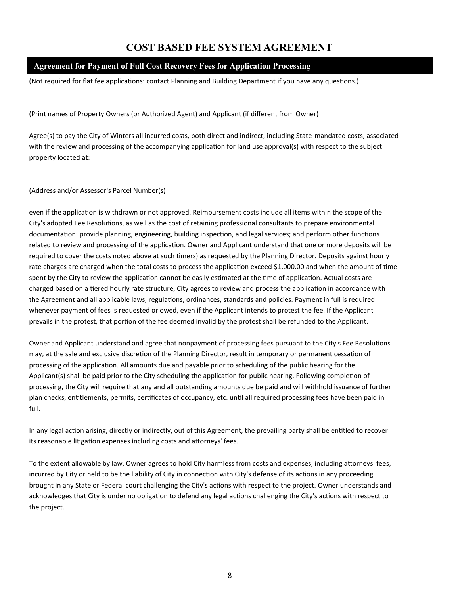# **COST BASED FEE SYSTEM AGREEMENT**

### **Agreement for Payment of Full Cost Recovery Fees for Application Processing**

(Not required for flat fee applications: contact Planning and Building Department if you have any questions.)

(Print names of Property Owners (or Authorized Agent) and Applicant (if different from Owner)

Agree(s) to pay the City of Winters all incurred costs, both direct and indirect, including State-mandated costs, associated with the review and processing of the accompanying application for land use approval(s) with respect to the subject property located at:

#### (Address and/or Assessor's Parcel Number(s)

even if the application is withdrawn or not approved. Reimbursement costs include all items within the scope of the City's adopted Fee Resolutions, as well as the cost of retaining professional consultants to prepare environmental documentation: provide planning, engineering, building inspection, and legal services; and perform other functions related to review and processing of the application. Owner and Applicant understand that one or more deposits will be required to cover the costs noted above at such timers) as requested by the Planning Director. Deposits against hourly rate charges are charged when the total costs to process the application exceed \$1,000.00 and when the amount of time spent by the City to review the application cannot be easily estimated at the time of application. Actual costs are charged based on a tiered hourly rate structure, City agrees to review and process the application in accordance with the Agreement and all applicable laws, regulations, ordinances, standards and policies. Payment in full is required whenever payment of fees is requested or owed, even if the Applicant intends to protest the fee. If the Applicant prevails in the protest, that portion of the fee deemed invalid by the protest shall be refunded to the Applicant.

Owner and Applicant understand and agree that nonpayment of processing fees pursuant to the City's Fee Resolutions may, at the sale and exclusive discretion of the Planning Director, result in temporary or permanent cessation of processing of the application. All amounts due and payable prior to scheduling of the public hearing for the Applicant(s) shall be paid prior to the City scheduling the application for public hearing. Following completion of processing, the City will require that any and all outstanding amounts due be paid and will withhold issuance of further plan checks, entitlements, permits, certificates of occupancy, etc. until all required processing fees have been paid in full.

In any legal action arising, directly or indirectly, out of this Agreement, the prevailing party shall be entitled to recover its reasonable litigation expenses including costs and attorneys' fees.

To the extent allowable by law, Owner agrees to hold City harmless from costs and expenses, including attorneys' fees, incurred by City or held to be the liability of City in connection with City's defense of its actions in any proceeding brought in any State or Federal court challenging the City's actions with respect to the project. Owner understands and acknowledges that City is under no obligation to defend any legal actions challenging the City's actions with respect to the project.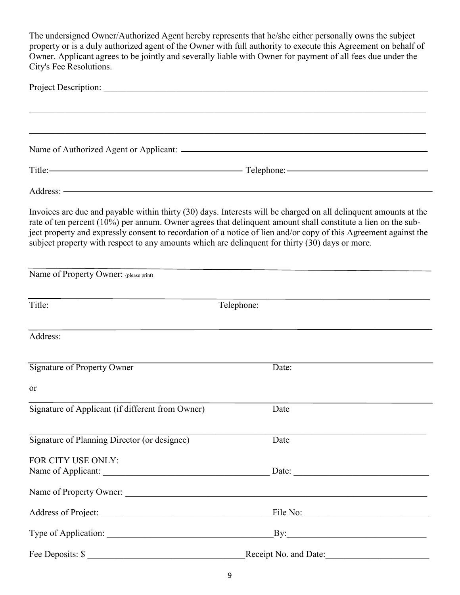The undersigned Owner/Authorized Agent hereby represents that he/she either personally owns the subject property or is a duly authorized agent of the Owner with full authority to execute this Agreement on behalf of Owner. Applicant agrees to be jointly and severally liable with Owner for payment of all fees due under the City's Fee Resolutions.

|                                                                                                                                                                                                                                                                                                                                                                                                                                                         | <u> 1989 - Johann Stoff, amerikansk politiker (d. 1989)</u> |
|---------------------------------------------------------------------------------------------------------------------------------------------------------------------------------------------------------------------------------------------------------------------------------------------------------------------------------------------------------------------------------------------------------------------------------------------------------|-------------------------------------------------------------|
|                                                                                                                                                                                                                                                                                                                                                                                                                                                         |                                                             |
|                                                                                                                                                                                                                                                                                                                                                                                                                                                         |                                                             |
| Address: <u>2008</u>                                                                                                                                                                                                                                                                                                                                                                                                                                    |                                                             |
| Invoices are due and payable within thirty (30) days. Interests will be charged on all delinquent amounts at the<br>rate of ten percent (10%) per annum. Owner agrees that delinquent amount shall constitute a lien on the sub-<br>ject property and expressly consent to recordation of a notice of lien and/or copy of this Agreement against the<br>subject property with respect to any amounts which are delinquent for thirty (30) days or more. |                                                             |
| Name of Property Owner: (please print)                                                                                                                                                                                                                                                                                                                                                                                                                  |                                                             |
| Title:                                                                                                                                                                                                                                                                                                                                                                                                                                                  | Telephone:                                                  |
| Address:                                                                                                                                                                                                                                                                                                                                                                                                                                                |                                                             |
| <b>Signature of Property Owner</b>                                                                                                                                                                                                                                                                                                                                                                                                                      | Date:                                                       |
| <sub>or</sub>                                                                                                                                                                                                                                                                                                                                                                                                                                           |                                                             |
| Signature of Applicant (if different from Owner)                                                                                                                                                                                                                                                                                                                                                                                                        | Date                                                        |
| Signature of Planning Director (or designee)                                                                                                                                                                                                                                                                                                                                                                                                            | Date                                                        |
| FOR CITY USE ONLY:                                                                                                                                                                                                                                                                                                                                                                                                                                      |                                                             |
| Name of Property Owner:                                                                                                                                                                                                                                                                                                                                                                                                                                 |                                                             |
|                                                                                                                                                                                                                                                                                                                                                                                                                                                         |                                                             |
|                                                                                                                                                                                                                                                                                                                                                                                                                                                         |                                                             |
| Fee Deposits: \$                                                                                                                                                                                                                                                                                                                                                                                                                                        | Receipt No. and Date:                                       |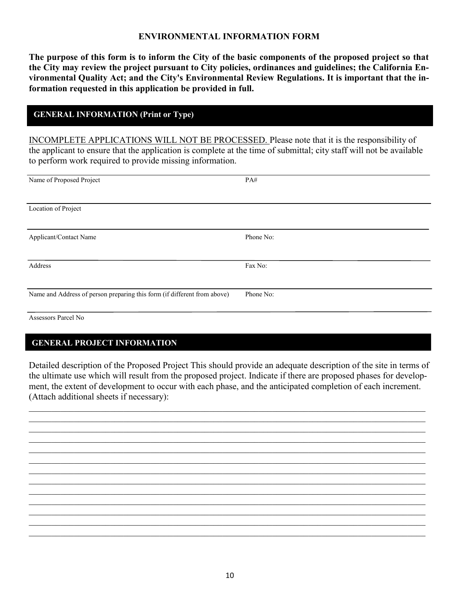## **ENVIRONMENTAL INFORMATION FORM**

**The purpose of this form is to inform the City of the basic components of the proposed project so that the City may review the project pursuant to City policies, ordinances and guidelines; the California Environmental Quality Act; and the City's Environmental Review Regulations. It is important that the information requested in this application be provided in full.**

## **GENERAL INFORMATION (Print or Type)**

INCOMPLETE APPLICATIONS WILL NOT BE PROCESSED. Please note that it is the responsibility of the applicant to ensure that the application is complete at the time of submittal; city staff will not be available to perform work required to provide missing information.

| Name of Proposed Project                                                 | PA#       |
|--------------------------------------------------------------------------|-----------|
|                                                                          |           |
| Location of Project                                                      |           |
|                                                                          |           |
| Applicant/Contact Name                                                   | Phone No: |
|                                                                          |           |
| Address                                                                  | Fax No:   |
|                                                                          |           |
| Name and Address of person preparing this form (if different from above) | Phone No: |
|                                                                          |           |

### Assessors Parcel No

## **GENERAL PROJECT INFORMATION**

Detailed description of the Proposed Project This should provide an adequate description of the site in terms of the ultimate use which will result from the proposed project. Indicate if there are proposed phases for development, the extent of development to occur with each phase, and the anticipated completion of each increment. (Attach additional sheets if necessary):

 $\_$  , and the contribution of the contribution of the contribution of the contribution of the contribution of  $\mathcal{L}_\text{max}$  $\mathcal{L}_\mathcal{L} = \{ \mathcal{L}_\mathcal{L} = \{ \mathcal{L}_\mathcal{L} = \{ \mathcal{L}_\mathcal{L} = \{ \mathcal{L}_\mathcal{L} = \{ \mathcal{L}_\mathcal{L} = \{ \mathcal{L}_\mathcal{L} = \{ \mathcal{L}_\mathcal{L} = \{ \mathcal{L}_\mathcal{L} = \{ \mathcal{L}_\mathcal{L} = \{ \mathcal{L}_\mathcal{L} = \{ \mathcal{L}_\mathcal{L} = \{ \mathcal{L}_\mathcal{L} = \{ \mathcal{L}_\mathcal{L} = \{ \mathcal{L}_\mathcal{$  $\mathcal{L}_\mathcal{L} = \{ \mathcal{L}_\mathcal{L} = \{ \mathcal{L}_\mathcal{L} = \{ \mathcal{L}_\mathcal{L} = \{ \mathcal{L}_\mathcal{L} = \{ \mathcal{L}_\mathcal{L} = \{ \mathcal{L}_\mathcal{L} = \{ \mathcal{L}_\mathcal{L} = \{ \mathcal{L}_\mathcal{L} = \{ \mathcal{L}_\mathcal{L} = \{ \mathcal{L}_\mathcal{L} = \{ \mathcal{L}_\mathcal{L} = \{ \mathcal{L}_\mathcal{L} = \{ \mathcal{L}_\mathcal{L} = \{ \mathcal{L}_\mathcal{$  $\_$  , and the contribution of the contribution of the contribution of the contribution of the contribution of  $\mathcal{L}_\text{max}$  $\_$  , and the contribution of the contribution of the contribution of the contribution of the contribution of  $\mathcal{L}_\text{max}$  $\_$  , and the contribution of the contribution of the contribution of the contribution of the contribution of  $\mathcal{L}_\text{max}$  $\_$  , and the contribution of the contribution of the contribution of the contribution of the contribution of  $\mathcal{L}_\text{max}$  $\mathcal{L}_\mathcal{L} = \{ \mathcal{L}_\mathcal{L} = \{ \mathcal{L}_\mathcal{L} = \{ \mathcal{L}_\mathcal{L} = \{ \mathcal{L}_\mathcal{L} = \{ \mathcal{L}_\mathcal{L} = \{ \mathcal{L}_\mathcal{L} = \{ \mathcal{L}_\mathcal{L} = \{ \mathcal{L}_\mathcal{L} = \{ \mathcal{L}_\mathcal{L} = \{ \mathcal{L}_\mathcal{L} = \{ \mathcal{L}_\mathcal{L} = \{ \mathcal{L}_\mathcal{L} = \{ \mathcal{L}_\mathcal{L} = \{ \mathcal{L}_\mathcal{$  $\_$  , and the contribution of the contribution of the contribution of the contribution of the contribution of  $\mathcal{L}_\text{max}$  $\_$  , and the contribution of the contribution of the contribution of the contribution of the contribution of  $\mathcal{L}_\text{max}$  $\_$  , and the contribution of the contribution of the contribution of the contribution of the contribution of  $\mathcal{L}_\text{max}$  $\_$  , and the contribution of the contribution of the contribution of the contribution of the contribution of  $\mathcal{L}_\text{max}$  $\mathcal{L}_\mathcal{L} = \{ \mathcal{L}_\mathcal{L} = \{ \mathcal{L}_\mathcal{L} = \{ \mathcal{L}_\mathcal{L} = \{ \mathcal{L}_\mathcal{L} = \{ \mathcal{L}_\mathcal{L} = \{ \mathcal{L}_\mathcal{L} = \{ \mathcal{L}_\mathcal{L} = \{ \mathcal{L}_\mathcal{L} = \{ \mathcal{L}_\mathcal{L} = \{ \mathcal{L}_\mathcal{L} = \{ \mathcal{L}_\mathcal{L} = \{ \mathcal{L}_\mathcal{L} = \{ \mathcal{L}_\mathcal{L} = \{ \mathcal{L}_\mathcal{$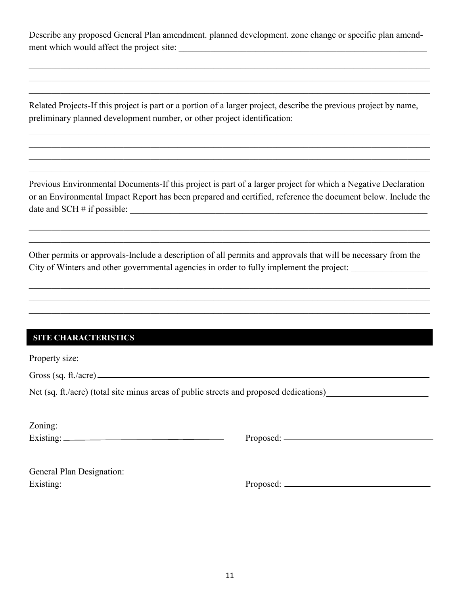Describe any proposed General Plan amendment. planned development. zone change or specific plan amendment which would affect the project site:

 $\_$  , and the contribution of the contribution of the contribution of the contribution of the contribution of  $\mathcal{L}_\text{max}$  $\_$  , and the contribution of the contribution of the contribution of the contribution of the contribution of  $\mathcal{L}_\text{max}$  $\_$  , and the contribution of the contribution of the contribution of the contribution of the contribution of  $\mathcal{L}_\text{max}$ 

Related Projects-If this project is part or a portion of a larger project, describe the previous project by name, preliminary planned development number, or other project identification:

 $\_$  , and the contribution of the contribution of the contribution of the contribution of the contribution of  $\mathcal{L}_\text{max}$  $\_$  , and the contribution of the contribution of the contribution of the contribution of the contribution of  $\mathcal{L}_\text{max}$  $\_$  , and the contribution of the contribution of the contribution of the contribution of the contribution of  $\mathcal{L}_\text{max}$  $\mathcal{L}_\mathcal{L} = \mathcal{L}_\mathcal{L} = \mathcal{L}_\mathcal{L} = \mathcal{L}_\mathcal{L} = \mathcal{L}_\mathcal{L} = \mathcal{L}_\mathcal{L} = \mathcal{L}_\mathcal{L} = \mathcal{L}_\mathcal{L} = \mathcal{L}_\mathcal{L} = \mathcal{L}_\mathcal{L} = \mathcal{L}_\mathcal{L} = \mathcal{L}_\mathcal{L} = \mathcal{L}_\mathcal{L} = \mathcal{L}_\mathcal{L} = \mathcal{L}_\mathcal{L} = \mathcal{L}_\mathcal{L} = \mathcal{L}_\mathcal{L}$ 

Previous Environmental Documents-If this project is part of a larger project for which a Negative Declaration or an Environmental Impact Report has been prepared and certified, reference the document below. Include the date and SCH  $#$  if possible:  $\_\_$ 

 $\_$  , and the contribution of the contribution of the contribution of the contribution of the contribution of  $\mathcal{L}_\text{max}$  $\_$  , and the contribution of the contribution of the contribution of the contribution of the contribution of  $\mathcal{L}_\text{max}$ 

Other permits or approvals-Include a description of all permits and approvals that will be necessary from the City of Winters and other governmental agencies in order to fully implement the project: \_\_\_\_\_\_\_\_\_\_\_\_\_\_\_\_\_\_\_\_\_\_

 $\_$  , and the contribution of the contribution of the contribution of the contribution of the contribution of  $\mathcal{L}_\text{max}$  $\_$  , and the contribution of the contribution of the contribution of the contribution of the contribution of  $\mathcal{L}_\text{max}$  $\mathcal{L}_\mathcal{L} = \mathcal{L}_\mathcal{L} = \mathcal{L}_\mathcal{L} = \mathcal{L}_\mathcal{L} = \mathcal{L}_\mathcal{L} = \mathcal{L}_\mathcal{L} = \mathcal{L}_\mathcal{L} = \mathcal{L}_\mathcal{L} = \mathcal{L}_\mathcal{L} = \mathcal{L}_\mathcal{L} = \mathcal{L}_\mathcal{L} = \mathcal{L}_\mathcal{L} = \mathcal{L}_\mathcal{L} = \mathcal{L}_\mathcal{L} = \mathcal{L}_\mathcal{L} = \mathcal{L}_\mathcal{L} = \mathcal{L}_\mathcal{L}$ 

## **SITE CHARACTERISTICS**

Property size:

Gross (sq. ft./acre)

Net (sq. ft./acre) (total site minus areas of public streets and proposed dedications)

| Zoning:   |  |  |
|-----------|--|--|
| Existing: |  |  |

Existing: Proposed:

| General Plan Designation: |  |
|---------------------------|--|
| Existing:                 |  |

Existing: Proposed: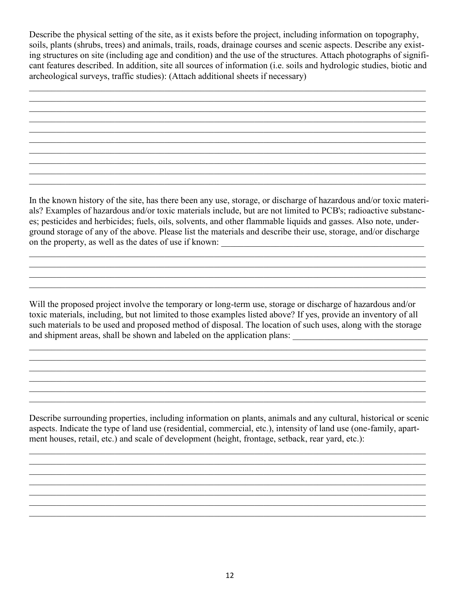Describe the physical setting of the site, as it exists before the project, including information on topography, soils, plants (shrubs, trees) and animals, trails, roads, drainage courses and scenic aspects. Describe any existing structures on site (including age and condition) and the use of the structures. Attach photographs of significant features described. In addition, site all sources of information (i.e. soils and hydrologic studies, biotic and archeological surveys, traffic studies): (Attach additional sheets if necessary)

 $\_$  , and the contribution of the contribution of the contribution of the contribution of the contribution of  $\mathcal{L}_\text{max}$  $\_$  , and the contribution of the contribution of the contribution of the contribution of the contribution of  $\mathcal{L}_\text{max}$  $\_$  , and the contribution of the contribution of the contribution of the contribution of the contribution of  $\mathcal{L}_\text{max}$  $\mathcal{L}_\mathcal{L} = \{ \mathcal{L}_\mathcal{L} = \{ \mathcal{L}_\mathcal{L} = \{ \mathcal{L}_\mathcal{L} = \{ \mathcal{L}_\mathcal{L} = \{ \mathcal{L}_\mathcal{L} = \{ \mathcal{L}_\mathcal{L} = \{ \mathcal{L}_\mathcal{L} = \{ \mathcal{L}_\mathcal{L} = \{ \mathcal{L}_\mathcal{L} = \{ \mathcal{L}_\mathcal{L} = \{ \mathcal{L}_\mathcal{L} = \{ \mathcal{L}_\mathcal{L} = \{ \mathcal{L}_\mathcal{L} = \{ \mathcal{L}_\mathcal{$  $\_$  , and the contribution of the contribution of the contribution of the contribution of the contribution of  $\mathcal{L}_\text{max}$  $\_$  , and the contribution of the contribution of the contribution of the contribution of the contribution of  $\mathcal{L}_\text{max}$  $\_$  , and the contribution of the contribution of the contribution of the contribution of the contribution of  $\mathcal{L}_\text{max}$  $\_$  , and the contribution of the contribution of the contribution of the contribution of the contribution of  $\mathcal{L}_\text{max}$  $\mathcal{L}_\mathcal{L} = \{ \mathcal{L}_\mathcal{L} = \{ \mathcal{L}_\mathcal{L} = \{ \mathcal{L}_\mathcal{L} = \{ \mathcal{L}_\mathcal{L} = \{ \mathcal{L}_\mathcal{L} = \{ \mathcal{L}_\mathcal{L} = \{ \mathcal{L}_\mathcal{L} = \{ \mathcal{L}_\mathcal{L} = \{ \mathcal{L}_\mathcal{L} = \{ \mathcal{L}_\mathcal{L} = \{ \mathcal{L}_\mathcal{L} = \{ \mathcal{L}_\mathcal{L} = \{ \mathcal{L}_\mathcal{L} = \{ \mathcal{L}_\mathcal{$  $\_$  , and the contribution of the contribution of the contribution of the contribution of the contribution of  $\mathcal{L}_\text{max}$ 

In the known history of the site, has there been any use, storage, or discharge of hazardous and/or toxic materials? Examples of hazardous and/or toxic materials include, but are not limited to PCB's; radioactive substances; pesticides and herbicides; fuels, oils, solvents, and other flammable liquids and gasses. Also note, underground storage of any of the above. Please list the materials and describe their use, storage, and/or discharge on the property, as well as the dates of use if known: \_\_\_\_\_\_\_\_\_\_\_\_\_\_\_\_\_\_\_\_\_\_\_\_\_\_\_\_\_\_\_\_\_\_\_\_\_\_\_\_\_\_\_\_\_

 $\_$  , and the contribution of the contribution of the contribution of the contribution of the contribution of  $\mathcal{L}_\text{max}$  $\mathcal{L}_\mathcal{L} = \{ \mathcal{L}_\mathcal{L} = \{ \mathcal{L}_\mathcal{L} = \{ \mathcal{L}_\mathcal{L} = \{ \mathcal{L}_\mathcal{L} = \{ \mathcal{L}_\mathcal{L} = \{ \mathcal{L}_\mathcal{L} = \{ \mathcal{L}_\mathcal{L} = \{ \mathcal{L}_\mathcal{L} = \{ \mathcal{L}_\mathcal{L} = \{ \mathcal{L}_\mathcal{L} = \{ \mathcal{L}_\mathcal{L} = \{ \mathcal{L}_\mathcal{L} = \{ \mathcal{L}_\mathcal{L} = \{ \mathcal{L}_\mathcal{$  $\_$  , and the contribution of the contribution of the contribution of the contribution of the contribution of  $\mathcal{L}_\text{max}$ 

Will the proposed project involve the temporary or long-term use, storage or discharge of hazardous and/or toxic materials, including, but not limited to those examples listed above? If yes, provide an inventory of all such materials to be used and proposed method of disposal. The location of such uses, along with the storage and shipment areas, shall be shown and labeled on the application plans: \_\_\_\_\_\_\_\_\_\_\_\_\_\_\_\_\_\_\_\_\_\_\_\_\_\_\_\_\_\_

 $\_$  , and the contribution of the contribution of the contribution of the contribution of the contribution of  $\mathcal{L}_\text{max}$  $\_$  , and the contribution of the contribution of the contribution of the contribution of the contribution of  $\mathcal{L}_\text{max}$ 

 $\mathcal{L}_\mathcal{L} = \{ \mathcal{L}_\mathcal{L} = \{ \mathcal{L}_\mathcal{L} = \{ \mathcal{L}_\mathcal{L} = \{ \mathcal{L}_\mathcal{L} = \{ \mathcal{L}_\mathcal{L} = \{ \mathcal{L}_\mathcal{L} = \{ \mathcal{L}_\mathcal{L} = \{ \mathcal{L}_\mathcal{L} = \{ \mathcal{L}_\mathcal{L} = \{ \mathcal{L}_\mathcal{L} = \{ \mathcal{L}_\mathcal{L} = \{ \mathcal{L}_\mathcal{L} = \{ \mathcal{L}_\mathcal{L} = \{ \mathcal{L}_\mathcal{$ 

 $\_$  , and the contribution of the contribution of the contribution of the contribution of the contribution of  $\mathcal{L}_\text{max}$ 

 $\mathcal{L}_\mathcal{L} = \{ \mathcal{L}_\mathcal{L} = \{ \mathcal{L}_\mathcal{L} = \{ \mathcal{L}_\mathcal{L} = \{ \mathcal{L}_\mathcal{L} = \{ \mathcal{L}_\mathcal{L} = \{ \mathcal{L}_\mathcal{L} = \{ \mathcal{L}_\mathcal{L} = \{ \mathcal{L}_\mathcal{L} = \{ \mathcal{L}_\mathcal{L} = \{ \mathcal{L}_\mathcal{L} = \{ \mathcal{L}_\mathcal{L} = \{ \mathcal{L}_\mathcal{L} = \{ \mathcal{L}_\mathcal{L} = \{ \mathcal{L}_\mathcal{$ 

Describe surrounding properties, including information on plants, animals and any cultural, historical or scenic aspects. Indicate the type of land use (residential, commercial, etc.), intensity of land use (one-family, apartment houses, retail, etc.) and scale of development (height, frontage, setback, rear yard, etc.):

 $\_$  , and the contribution of the contribution of the contribution of the contribution of the contribution of  $\mathcal{L}_\text{max}$  $\_$  , and the contribution of the contribution of the contribution of the contribution of the contribution of  $\mathcal{L}_\text{max}$  $\_$  , and the contribution of the contribution of the contribution of the contribution of the contribution of  $\mathcal{L}_\text{max}$  $\_$  , and the contribution of the contribution of the contribution of the contribution of the contribution of  $\mathcal{L}_\text{max}$  $\mathcal{L}_\mathcal{L} = \{ \mathcal{L}_\mathcal{L} = \{ \mathcal{L}_\mathcal{L} = \{ \mathcal{L}_\mathcal{L} = \{ \mathcal{L}_\mathcal{L} = \{ \mathcal{L}_\mathcal{L} = \{ \mathcal{L}_\mathcal{L} = \{ \mathcal{L}_\mathcal{L} = \{ \mathcal{L}_\mathcal{L} = \{ \mathcal{L}_\mathcal{L} = \{ \mathcal{L}_\mathcal{L} = \{ \mathcal{L}_\mathcal{L} = \{ \mathcal{L}_\mathcal{L} = \{ \mathcal{L}_\mathcal{L} = \{ \mathcal{L}_\mathcal{$  $\_$  , and the contribution of the contribution of the contribution of the contribution of the contribution of  $\mathcal{L}_\text{max}$  $\_$  , and the contribution of the contribution of the contribution of the contribution of the contribution of  $\mathcal{L}_\text{max}$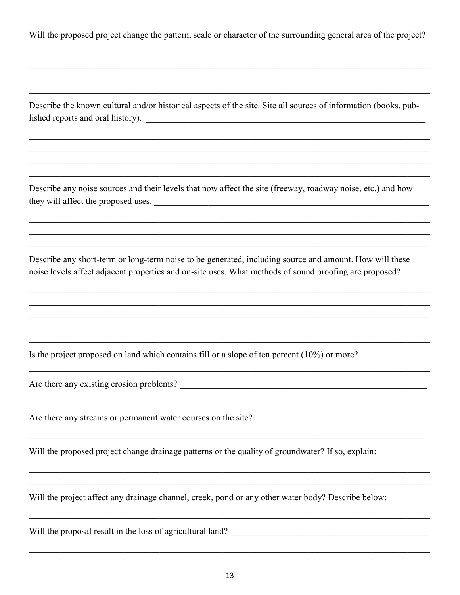Will the proposed project change the pattern, scale or character of the surrounding general area of the project?

Describe the known cultural and/or historical aspects of the site. Site all sources of information (books, published reports and oral history).

Describe any noise sources and their levels that now affect the site (freeway, roadway noise, etc.) and how they will affect the proposed uses.

Describe any short-term or long-term noise to be generated, including source and amount. How will these noise levels affect adjacent properties and on-site uses. What methods of sound proofing are proposed?

Is the project proposed on land which contains fill or a slope of ten percent  $(10\%)$  or more?

Are there any existing erosion problems?

Are there any streams or permanent water courses on the site?

Will the proposed project change drainage patterns or the quality of groundwater? If so, explain:

Will the project affect any drainage channel, creek, pond or any other water body? Describe below:

Will the proposal result in the loss of agricultural land?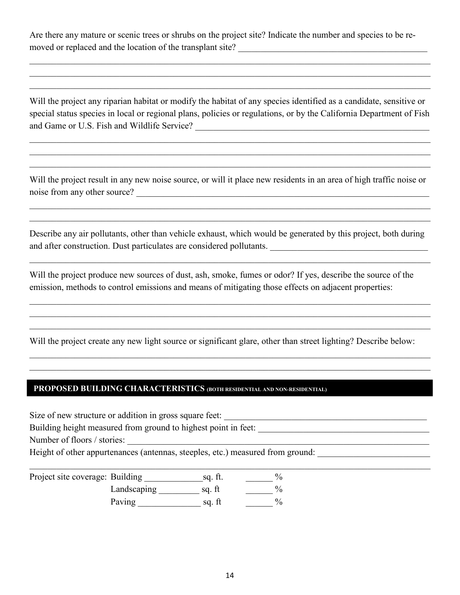Are there any mature or scenic trees or shrubs on the project site? Indicate the number and species to be removed or replaced and the location of the transplant site?

 $\_$  , and the contribution of the contribution of the contribution of the contribution of the contribution of  $\mathcal{L}_\text{max}$  $\_$  , and the contribution of the contribution of the contribution of the contribution of the contribution of  $\mathcal{L}_\text{max}$  $\_$  , and the contribution of the contribution of the contribution of the contribution of the contribution of  $\mathcal{L}_\text{max}$ 

Will the project any riparian habitat or modify the habitat of any species identified as a candidate, sensitive or special status species in local or regional plans, policies or regulations, or by the California Department of Fish and Game or U.S. Fish and Wildlife Service? \_\_\_\_\_\_\_\_\_\_\_\_\_\_\_\_\_\_\_\_\_\_\_\_\_\_\_\_\_\_\_\_\_\_\_\_\_\_\_\_\_\_\_\_\_\_\_\_\_\_\_\_

 $\_$  , and the contribution of the contribution of the contribution of the contribution of the contribution of  $\mathcal{L}_\text{max}$  $\mathcal{L}_\mathcal{L} = \mathcal{L}_\mathcal{L} = \mathcal{L}_\mathcal{L} = \mathcal{L}_\mathcal{L} = \mathcal{L}_\mathcal{L} = \mathcal{L}_\mathcal{L} = \mathcal{L}_\mathcal{L} = \mathcal{L}_\mathcal{L} = \mathcal{L}_\mathcal{L} = \mathcal{L}_\mathcal{L} = \mathcal{L}_\mathcal{L} = \mathcal{L}_\mathcal{L} = \mathcal{L}_\mathcal{L} = \mathcal{L}_\mathcal{L} = \mathcal{L}_\mathcal{L} = \mathcal{L}_\mathcal{L} = \mathcal{L}_\mathcal{L}$  $\_$  , and the contribution of the contribution of the contribution of the contribution of the contribution of  $\mathcal{L}_\text{max}$ 

Will the project result in any new noise source, or will it place new residents in an area of high traffic noise or noise from any other source? \_\_\_\_\_\_\_\_\_\_\_\_\_\_\_\_\_\_\_\_\_\_\_\_\_\_\_\_\_\_\_\_\_\_\_\_\_\_\_\_\_\_\_\_\_\_\_\_\_\_\_\_\_\_\_\_\_\_\_\_\_\_\_\_\_

 $\_$  , and the contribution of the contribution of the contribution of the contribution of the contribution of  $\mathcal{L}_\text{max}$  $\mathcal{L}_\mathcal{L} = \mathcal{L}_\mathcal{L} = \mathcal{L}_\mathcal{L} = \mathcal{L}_\mathcal{L} = \mathcal{L}_\mathcal{L} = \mathcal{L}_\mathcal{L} = \mathcal{L}_\mathcal{L} = \mathcal{L}_\mathcal{L} = \mathcal{L}_\mathcal{L} = \mathcal{L}_\mathcal{L} = \mathcal{L}_\mathcal{L} = \mathcal{L}_\mathcal{L} = \mathcal{L}_\mathcal{L} = \mathcal{L}_\mathcal{L} = \mathcal{L}_\mathcal{L} = \mathcal{L}_\mathcal{L} = \mathcal{L}_\mathcal{L}$ 

Describe any air pollutants, other than vehicle exhaust, which would be generated by this project, both during and after construction. Dust particulates are considered pollutants.

 $\_$  , and the contribution of the contribution of the contribution of the contribution of the contribution of  $\mathcal{L}_\text{max}$ 

 $\_$  , and the contribution of the contribution of the contribution of the contribution of the contribution of  $\mathcal{L}_\text{max}$  $\_$  , and the contribution of the contribution of the contribution of the contribution of the contribution of  $\mathcal{L}_\text{max}$  $\mathcal{L}_\mathcal{L} = \mathcal{L}_\mathcal{L} = \mathcal{L}_\mathcal{L} = \mathcal{L}_\mathcal{L} = \mathcal{L}_\mathcal{L} = \mathcal{L}_\mathcal{L} = \mathcal{L}_\mathcal{L} = \mathcal{L}_\mathcal{L} = \mathcal{L}_\mathcal{L} = \mathcal{L}_\mathcal{L} = \mathcal{L}_\mathcal{L} = \mathcal{L}_\mathcal{L} = \mathcal{L}_\mathcal{L} = \mathcal{L}_\mathcal{L} = \mathcal{L}_\mathcal{L} = \mathcal{L}_\mathcal{L} = \mathcal{L}_\mathcal{L}$ 

Will the project produce new sources of dust, ash, smoke, fumes or odor? If yes, describe the source of the emission, methods to control emissions and means of mitigating those effects on adjacent properties:

Will the project create any new light source or significant glare, other than street lighting? Describe below:

 $\_$  , and the contribution of the contribution of the contribution of the contribution of the contribution of  $\mathcal{L}_\text{max}$  $\_$  , and the contribution of the contribution of the contribution of the contribution of the contribution of  $\mathcal{L}_\text{max}$ 

## **PROPOSED BUILDING CHARACTERISTICS (BOTH RESIDENTIAL AND NON-RESIDENTIAL)**

Size of new structure or addition in gross square feet: \_\_\_\_\_\_\_\_\_\_\_\_\_\_\_\_\_\_\_\_\_\_\_\_\_\_\_\_\_\_\_\_\_\_\_\_\_\_\_\_\_\_\_\_\_ Building height measured from ground to highest point in feet: \_\_\_\_\_\_\_\_\_\_\_\_\_\_\_\_\_\_\_\_\_\_\_\_\_\_\_\_\_\_\_\_\_\_\_\_\_\_ Number of floors / stories: Height of other appurtenances (antennas, steeples, etc.) measured from ground:  $\_$  , and the contribution of the contribution of the contribution of the contribution of the contribution of  $\mathcal{L}_\text{max}$  $\frac{1}{\sqrt{2\pi}}$ 

| Project site coverage: Building |             | sq. ft. |  |
|---------------------------------|-------------|---------|--|
|                                 | Landscaping | sg. ft  |  |
|                                 | Paving      | sg. ft  |  |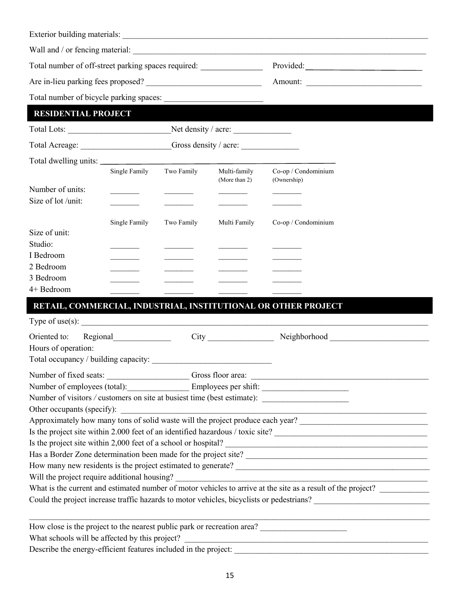| Total number of off-street parking spaces required: ____________________________     |                                                                                                                                                           |            |                               | Provided:                                                                                                                                                                                                                                                                                                                                          |  |  |
|--------------------------------------------------------------------------------------|-----------------------------------------------------------------------------------------------------------------------------------------------------------|------------|-------------------------------|----------------------------------------------------------------------------------------------------------------------------------------------------------------------------------------------------------------------------------------------------------------------------------------------------------------------------------------------------|--|--|
|                                                                                      |                                                                                                                                                           |            |                               |                                                                                                                                                                                                                                                                                                                                                    |  |  |
|                                                                                      |                                                                                                                                                           |            |                               |                                                                                                                                                                                                                                                                                                                                                    |  |  |
| <b>RESIDENTIAL PROJECT</b>                                                           |                                                                                                                                                           |            |                               |                                                                                                                                                                                                                                                                                                                                                    |  |  |
|                                                                                      |                                                                                                                                                           |            | Net density / acre:           |                                                                                                                                                                                                                                                                                                                                                    |  |  |
|                                                                                      |                                                                                                                                                           |            | Gross density / acre:         |                                                                                                                                                                                                                                                                                                                                                    |  |  |
|                                                                                      |                                                                                                                                                           |            |                               |                                                                                                                                                                                                                                                                                                                                                    |  |  |
|                                                                                      | Single Family                                                                                                                                             | Two Family | Multi-family<br>(More than 2) | Co-op / Condominium<br>(Ownership)                                                                                                                                                                                                                                                                                                                 |  |  |
| Number of units:<br>Size of lot /unit:                                               |                                                                                                                                                           |            |                               |                                                                                                                                                                                                                                                                                                                                                    |  |  |
|                                                                                      | Single Family                                                                                                                                             | Two Family | Multi Family                  | Co-op / Condominium                                                                                                                                                                                                                                                                                                                                |  |  |
| Size of unit:<br>Studio:<br>I Bedroom<br>2 Bedroom<br>3 Bedroom<br>4+ Bedroom        |                                                                                                                                                           |            |                               |                                                                                                                                                                                                                                                                                                                                                    |  |  |
|                                                                                      |                                                                                                                                                           |            |                               | RETAIL, COMMERCIAL, INDUSTRIAL, INSTITUTIONAL OR OTHER PROJECT                                                                                                                                                                                                                                                                                     |  |  |
| Type of use(s): $\qquad \qquad$                                                      |                                                                                                                                                           |            |                               |                                                                                                                                                                                                                                                                                                                                                    |  |  |
| Oriented to: Regional<br>Hours of operation:<br>Total occupancy / building capacity: |                                                                                                                                                           |            | <b>City</b>                   | Neighborhood Neighborhood                                                                                                                                                                                                                                                                                                                          |  |  |
|                                                                                      |                                                                                                                                                           |            |                               |                                                                                                                                                                                                                                                                                                                                                    |  |  |
|                                                                                      | Number of employees (total): Employees per shift:<br>Number of visitors / customers on site at busiest time (best estimate): ____________________________ |            |                               |                                                                                                                                                                                                                                                                                                                                                    |  |  |
|                                                                                      |                                                                                                                                                           |            |                               | Approximately how many tons of solid waste will the project produce each year?<br>Is the project site within 2.000 feet of an identified hazardous / toxic site?<br>Is the project site within 2,000 feet of a school or hospital?<br>What is the current and estimated number of motor vehicles to arrive at the site as a result of the project? |  |  |
|                                                                                      |                                                                                                                                                           |            |                               | How close is the project to the nearest public park or recreation area?<br>What schools will be affected by this project?                                                                                                                                                                                                                          |  |  |